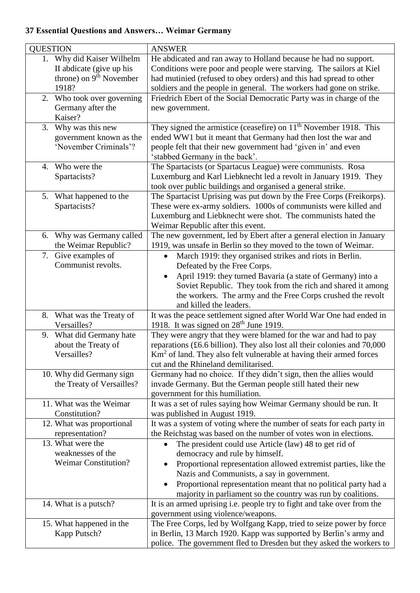## **37 Essential Questions and Answers… Weimar Germany**

| <b>QUESTION</b>                                                                                       | <b>ANSWER</b>                                                                                                                                                                                                                                                                                                                                                               |
|-------------------------------------------------------------------------------------------------------|-----------------------------------------------------------------------------------------------------------------------------------------------------------------------------------------------------------------------------------------------------------------------------------------------------------------------------------------------------------------------------|
| 1. Why did Kaiser Wilhelm<br>II abdicate (give up his<br>throne) on 9 <sup>th</sup> November<br>1918? | He abdicated and ran away to Holland because he had no support.<br>Conditions were poor and people were starving. The sailors at Kiel<br>had mutinied (refused to obey orders) and this had spread to other<br>soldiers and the people in general. The workers had gone on strike.                                                                                          |
| 2. Who took over governing<br>Germany after the<br>Kaiser?                                            | Friedrich Ebert of the Social Democratic Party was in charge of the<br>new government.                                                                                                                                                                                                                                                                                      |
| 3. Why was this new<br>government known as the<br>'November Criminals'?                               | They signed the armistice (ceasefire) on $11th$ November 1918. This<br>ended WW1 but it meant that Germany had then lost the war and<br>people felt that their new government had 'given in' and even<br>'stabbed Germany in the back'.                                                                                                                                     |
| 4. Who were the<br>Spartacists?                                                                       | The Spartacists (or Spartacus League) were communists. Rosa<br>Luxemburg and Karl Liebknecht led a revolt in January 1919. They<br>took over public buildings and organised a general strike.                                                                                                                                                                               |
| 5. What happened to the<br>Spartacists?                                                               | The Spartacist Uprising was put down by the Free Corps (Freikorps).<br>These were ex-army soldiers. 1000s of communists were killed and<br>Luxemburg and Liebknecht were shot. The communists hated the<br>Weimar Republic after this event.                                                                                                                                |
| 6. Why was Germany called<br>the Weimar Republic?                                                     | The new government, led by Ebert after a general election in January<br>1919, was unsafe in Berlin so they moved to the town of Weimar.                                                                                                                                                                                                                                     |
| 7. Give examples of<br>Communist revolts.                                                             | March 1919: they organised strikes and riots in Berlin.<br>$\bullet$<br>Defeated by the Free Corps.<br>April 1919: they turned Bavaria (a state of Germany) into a<br>Soviet Republic. They took from the rich and shared it among<br>the workers. The army and the Free Corps crushed the revolt<br>and killed the leaders.                                                |
| 8. What was the Treaty of<br>Versailles?                                                              | It was the peace settlement signed after World War One had ended in<br>1918. It was signed on 28 <sup>th</sup> June 1919.                                                                                                                                                                                                                                                   |
| What did Germany hate<br>9.<br>about the Treaty of<br>Versailles?                                     | They were angry that they were blamed for the war and had to pay<br>reparations (£6.6 billion). They also lost all their colonies and 70,000<br>Km <sup>2</sup> of land. They also felt vulnerable at having their armed forces<br>cut and the Rhineland demilitarised.                                                                                                     |
| 10. Why did Germany sign<br>the Treaty of Versailles?                                                 | Germany had no choice. If they didn't sign, then the allies would<br>invade Germany. But the German people still hated their new<br>government for this humiliation.                                                                                                                                                                                                        |
| 11. What was the Weimar<br>Constitution?                                                              | It was a set of rules saying how Weimar Germany should be run. It<br>was published in August 1919.                                                                                                                                                                                                                                                                          |
| 12. What was proportional<br>representation?                                                          | It was a system of voting where the number of seats for each party in<br>the Reichstag was based on the number of votes won in elections.                                                                                                                                                                                                                                   |
| 13. What were the<br>weaknesses of the<br><b>Weimar Constitution?</b>                                 | The president could use Article (law) 48 to get rid of<br>$\bullet$<br>democracy and rule by himself.<br>Proportional representation allowed extremist parties, like the<br>٠<br>Nazis and Communists, a say in government.<br>Proportional representation meant that no political party had a<br>$\bullet$<br>majority in parliament so the country was run by coalitions. |
| 14. What is a putsch?                                                                                 | It is an armed uprising i.e. people try to fight and take over from the<br>government using violence/weapons.                                                                                                                                                                                                                                                               |
| 15. What happened in the<br>Kapp Putsch?                                                              | The Free Corps, led by Wolfgang Kapp, tried to seize power by force<br>in Berlin, 13 March 1920. Kapp was supported by Berlin's army and<br>police. The government fled to Dresden but they asked the workers to                                                                                                                                                            |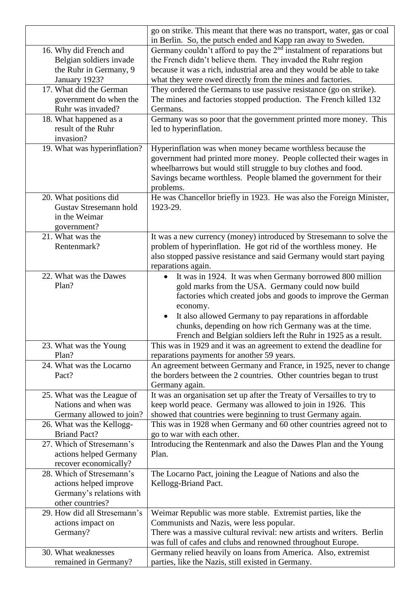|                                                                                                     | go on strike. This meant that there was no transport, water, gas or coal<br>in Berlin. So, the putsch ended and Kapp ran away to Sweden.                                                                                                                                                                                                                                                                   |
|-----------------------------------------------------------------------------------------------------|------------------------------------------------------------------------------------------------------------------------------------------------------------------------------------------------------------------------------------------------------------------------------------------------------------------------------------------------------------------------------------------------------------|
| 16. Why did French and<br>Belgian soldiers invade<br>the Ruhr in Germany, 9<br>January 1923?        | Germany couldn't afford to pay the $2nd$ instalment of reparations but<br>the French didn't believe them. They invaded the Ruhr region<br>because it was a rich, industrial area and they would be able to take<br>what they were owed directly from the mines and factories.                                                                                                                              |
| 17. What did the German<br>government do when the<br>Ruhr was invaded?                              | They ordered the Germans to use passive resistance (go on strike).<br>The mines and factories stopped production. The French killed 132<br>Germans.                                                                                                                                                                                                                                                        |
| 18. What happened as a<br>result of the Ruhr<br>invasion?                                           | Germany was so poor that the government printed more money. This<br>led to hyperinflation.                                                                                                                                                                                                                                                                                                                 |
| 19. What was hyperinflation?                                                                        | Hyperinflation was when money became worthless because the<br>government had printed more money. People collected their wages in<br>wheelbarrows but would still struggle to buy clothes and food.<br>Savings became worthless. People blamed the government for their<br>problems.                                                                                                                        |
| 20. What positions did<br>Gustav Stresemann hold<br>in the Weimar<br>government?                    | He was Chancellor briefly in 1923. He was also the Foreign Minister,<br>1923-29.                                                                                                                                                                                                                                                                                                                           |
| 21. What was the<br>Rentenmark?                                                                     | It was a new currency (money) introduced by Stresemann to solve the<br>problem of hyperinflation. He got rid of the worthless money. He<br>also stopped passive resistance and said Germany would start paying<br>reparations again.                                                                                                                                                                       |
| 22. What was the Dawes<br>Plan?                                                                     | It was in 1924. It was when Germany borrowed 800 million<br>$\bullet$<br>gold marks from the USA. Germany could now build<br>factories which created jobs and goods to improve the German<br>economy.<br>It also allowed Germany to pay reparations in affordable<br>$\bullet$<br>chunks, depending on how rich Germany was at the time.<br>French and Belgian soldiers left the Ruhr in 1925 as a result. |
| 23. What was the Young<br>Plan?                                                                     | This was in 1929 and it was an agreement to extend the deadline for<br>reparations payments for another 59 years.                                                                                                                                                                                                                                                                                          |
| 24. What was the Locarno<br>Pact?                                                                   | An agreement between Germany and France, in 1925, never to change<br>the borders between the 2 countries. Other countries began to trust<br>Germany again.                                                                                                                                                                                                                                                 |
| 25. What was the League of<br>Nations and when was<br>Germany allowed to join?                      | It was an organisation set up after the Treaty of Versailles to try to<br>keep world peace. Germany was allowed to join in 1926. This<br>showed that countries were beginning to trust Germany again.                                                                                                                                                                                                      |
| 26. What was the Kellogg-<br><b>Briand Pact?</b>                                                    | This was in 1928 when Germany and 60 other countries agreed not to<br>go to war with each other.                                                                                                                                                                                                                                                                                                           |
| 27. Which of Stresemann's<br>actions helped Germany<br>recover economically?                        | Introducing the Rentenmark and also the Dawes Plan and the Young<br>Plan.                                                                                                                                                                                                                                                                                                                                  |
| 28. Which of Stresemann's<br>actions helped improve<br>Germany's relations with<br>other countries? | The Locarno Pact, joining the League of Nations and also the<br>Kellogg-Briand Pact.                                                                                                                                                                                                                                                                                                                       |
| 29. How did all Stresemann's<br>actions impact on<br>Germany?                                       | Weimar Republic was more stable. Extremist parties, like the<br>Communists and Nazis, were less popular.<br>There was a massive cultural revival: new artists and writers. Berlin<br>was full of cafes and clubs and renowned throughout Europe.                                                                                                                                                           |
| 30. What weaknesses<br>remained in Germany?                                                         | Germany relied heavily on loans from America. Also, extremist<br>parties, like the Nazis, still existed in Germany.                                                                                                                                                                                                                                                                                        |